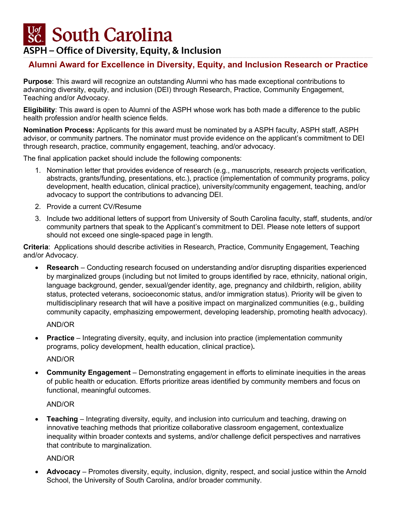# **South Carolina**

## **ASPH – Office of Diversity, Equity, & Inclusion**

### **Alumni Award for Excellence in Diversity, Equity, and Inclusion Research or Practice**

**Purpose**: This award will recognize an outstanding Alumni who has made exceptional contributions to advancing diversity, equity, and inclusion (DEI) through Research, Practice, Community Engagement, Teaching and/or Advocacy.

**Eligibility**: This award is open to Alumni of the ASPH whose work has both made a difference to the public health profession and/or health science fields.

**Nomination Process:** Applicants for this award must be nominated by a ASPH faculty, ASPH staff, ASPH advisor, or community partners. The nominator must provide evidence on the applicant's commitment to DEI through research, practice, community engagement, teaching, and/or advocacy.

The final application packet should include the following components:

- 1. Nomination letter that provides evidence of research (e.g., manuscripts, research projects verification, abstracts, grants/funding, presentations, etc.), practice (implementation of community programs, policy development, health education, clinical practice), university/community engagement, teaching, and/or advocacy to support the contributions to advancing DEI.
- 2. Provide a current CV/Resume
- 3. Include two additional letters of support from University of South Carolina faculty, staff, students, and/or community partners that speak to the Applicant's commitment to DEI. Please note letters of support should not exceed one single-spaced page in length.

**Criteria**: Applications should describe activities in Research, Practice, Community Engagement, Teaching and/or Advocacy.

• **Research** – Conducting research focused on understanding and/or disrupting disparities experienced by marginalized groups (including but not limited to groups identified by race, ethnicity, national origin, language background, gender, sexual/gender identity, age, pregnancy and childbirth, religion, ability status, protected veterans, socioeconomic status, and/or immigration status). Priority will be given to multidisciplinary research that will have a positive impact on marginalized communities (e.g., building community capacity, emphasizing empowerment, developing leadership, promoting health advocacy).

AND/OR

**Practice** – Integrating diversity, equity, and inclusion into practice (implementation community programs, policy development, health education, clinical practice)**.** 

#### AND/OR

• **Community Engagement** – Demonstrating engagement in efforts to eliminate inequities in the areas of public health or education. Efforts prioritize areas identified by community members and focus on functional, meaningful outcomes.

#### AND/OR

• **Teaching** – Integrating diversity, equity, and inclusion into curriculum and teaching, drawing on innovative teaching methods that prioritize collaborative classroom engagement, contextualize inequality within broader contexts and systems, and/or challenge deficit perspectives and narratives that contribute to marginalization.

#### AND/OR

• **Advocacy** – Promotes diversity, equity, inclusion, dignity, respect, and social justice within the Arnold School, the University of South Carolina, and/or broader community.